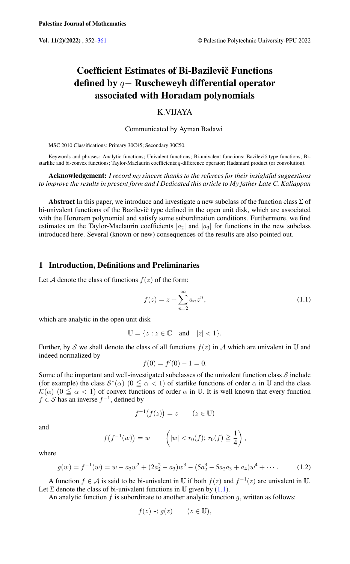# Coefficient Estimates of Bi-Bazilevič Functions defined by q− Ruscheweyh differential operator associated with Horadam polynomials

# K.VIJAYA

#### Communicated by Ayman Badawi

MSC 2010 Classifications: Primary 30C45; Secondary 30C50.

Keywords and phrases: Analytic functions: Univalent functions; Bi-univalent functions; Bazilevič type functions; Bistarlike and bi-convex functions; Taylor-Maclaurin coefficients;q-difference operator; Hadamard product (or convolution).

#### Acknowledgement: *I record my sincere thanks to the referees for their insightful suggestions to improve the results in present form and I Dedicated this article to My father Late C. Kaliappan*

Abstract In this paper, we introduce and investigate a new subclass of the function class  $\Sigma$  of bi-univalent functions of the Bazilevic type defined in the open unit disk, which are associated with the Horonam polynomial and satisfy some subordination conditions. Furthermore, we find estimates on the Taylor-Maclaurin coefficients  $|a_2|$  and  $|a_3|$  for functions in the new subclass introduced here. Several (known or new) consequences of the results are also pointed out.

#### 1 Introduction, Definitions and Preliminaries

Let A denote the class of functions  $f(z)$  of the form:

<span id="page-0-0"></span>
$$
f(z) = z + \sum_{n=2}^{\infty} a_n z^n,
$$
\n(1.1)

which are analytic in the open unit disk

$$
\mathbb{U} = \{ z : z \in \mathbb{C} \quad \text{and} \quad |z| < 1 \}.
$$

Further, by S we shall denote the class of all functions  $f(z)$  in A which are univalent in U and indeed normalized by

$$
f(0) = f'(0) - 1 = 0.
$$

Some of the important and well-investigated subclasses of the univalent function class  $S$  include (for example) the class  $S^*(\alpha)$   $(0 \le \alpha < 1)$  of starlike functions of order  $\alpha$  in U and the class  $\mathcal{K}(\alpha)$  (0  $\leq \alpha < 1$ ) of convex functions of order  $\alpha$  in U. It is well known that every function  $f \in S$  has an inverse  $f^{-1}$ , defined by

$$
f^{-1}(f(z)) = z \qquad (z \in \mathbb{U})
$$

and

$$
f(f^{-1}(w)) = w
$$
  $(|w| < r_0(f); r_0(f) \ge \frac{1}{4}),$ 

where

<span id="page-0-1"></span>
$$
g(w) = f^{-1}(w) = w - a_2w^2 + (2a_2^2 - a_3)w^3 - (5a_2^3 - 5a_2a_3 + a_4)w^4 + \cdots
$$
 (1.2)

A function  $f \in \mathcal{A}$  is said to be bi-univalent in U if both  $f(z)$  and  $f^{-1}(z)$  are univalent in U. Let  $\Sigma$  denote the class of bi-univalent functions in  $\mathbb U$  given by [\(1.1\)](#page-0-0).

An analytic function  $f$  is subordinate to another analytic function  $g$ , written as follows:

$$
f(z) \prec g(z) \qquad (z \in \mathbb{U}),
$$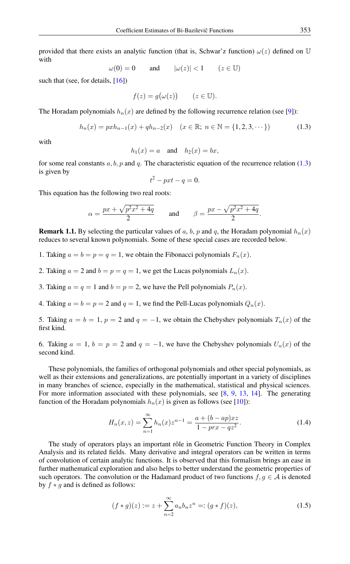provided that there exists an analytic function (that is, Schwar'z function)  $\omega(z)$  defined on U with

 $\omega(0) = 0$  and  $|\omega(z)| < 1$   $(z \in \mathbb{U})$ 

such that (see, for details, [\[16\]](#page-9-1))

$$
f(z) = g(\omega(z)) \qquad (z \in \mathbb{U}).
$$

The Horadam polynomials  $h_n(x)$  are defined by the following recurrence relation (see [\[9\]](#page-9-2)):

$$
h_n(x) = pxh_{n-1}(x) + qh_{n-2}(x) \quad (x \in \mathbb{R}; n \in \mathbb{N} = \{1, 2, 3, \cdots\})
$$
 (1.3)

with

$$
h_1(x) = a \quad \text{and} \quad h_2(x) = bx,
$$

for some real constants a, b, p and q. The characteristic equation of the recurrence relation [\(1.3\)](#page-1-0) is given by

<span id="page-1-0"></span>
$$
t^2 - pxt - q = 0.
$$

This equation has the following two real roots:

$$
\alpha = \frac{px + \sqrt{p^2x^2 + 4q}}{2} \quad \text{and} \quad \beta = \frac{px - \sqrt{p^2x^2 + 4q}}{2}.
$$

<span id="page-1-2"></span>**Remark 1.1.** By selecting the particular values of a, b, p and q, the Horadam polynomial  $h_n(x)$ reduces to several known polynomials. Some of these special cases are recorded below.

- 1. Taking  $a = b = p = q = 1$ , we obtain the Fibonacci polynomials  $F_n(x)$ .
- 2. Taking  $a = 2$  and  $b = p = q = 1$ , we get the Lucas polynomials  $L_n(x)$ .
- 3. Taking  $a = q = 1$  and  $b = p = 2$ , we have the Pell polynomials  $P_n(x)$ .

4. Taking  $a = b = p = 2$  and  $q = 1$ , we find the Pell-Lucas polynomials  $Q_n(x)$ .

5. Taking  $a = b = 1$ ,  $p = 2$  and  $q = -1$ , we obtain the Chebyshev polynomials  $T_n(x)$  of the first kind.

6. Taking  $a = 1$ ,  $b = p = 2$  and  $q = -1$ , we have the Chebyshev polynomials  $U_n(x)$  of the second kind.

These polynomials, the families of orthogonal polynomials and other special polynomials, as well as their extensions and generalizations, are potentially important in a variety of disciplines in many branches of science, especially in the mathematical, statistical and physical sciences. For more information associated with these polynomials, see [\[8,](#page-9-3) [9,](#page-9-2) [13,](#page-9-4) [14\]](#page-9-5). The generating function of the Horadam polynomials  $h_n(x)$  is given as follows (see [\[10\]](#page-9-6)):

<span id="page-1-1"></span>
$$
H_n(x, z) = \sum_{n=1}^{\infty} h_n(x) z^{n-1} = \frac{a + (b - ap)xz}{1 - prx - qz^2}.
$$
 (1.4)

The study of operators plays an important rôle in Geometric Function Theory in Complex Analysis and its related fields. Many derivative and integral operators can be written in terms of convolution of certain analytic functions. It is observed that this formalism brings an ease in further mathematical exploration and also helps to better understand the geometric properties of such operators. The convolution or the Hadamard product of two functions  $f, g \in A$  is denoted by  $f * g$  and is defined as follows:

$$
(f * g)(z) := z + \sum_{n=2}^{\infty} a_n b_n z^n =: (g * f)(z),
$$
\n(1.5)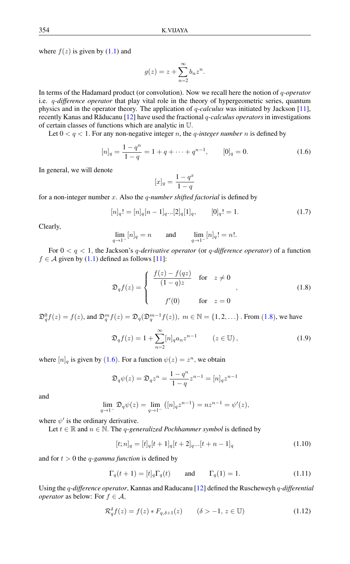where  $f(z)$  is given by  $(1.1)$  and

$$
g(z) = z + \sum_{n=2}^{\infty} b_n z^n.
$$

In terms of the Hadamard product (or convolution). Now we recall here the notion of q*-operator* i.e. q*-difference operator* that play vital role in the theory of hypergeometric series, quantum physics and in the operator theory. The application of q*-calculus* was initiated by Jackson [\[11\]](#page-9-7), recently Kanas and Răducanu [[12\]](#page-9-8) have used the fractional *q-calculus operators* in investigations of certain classes of functions which are analytic in U.

Let  $0 < q < 1$ . For any non-negative integer *n*, the *q-integer number n* is defined by

$$
[n]_q = \frac{1 - q^n}{1 - q} = 1 + q + \dots + q^{n-1}, \qquad [0]_q = 0.
$$
 (1.6)

In general, we will denote

<span id="page-2-1"></span>
$$
[x]_q = \frac{1 - q^x}{1 - q}
$$

for a non-integer number x. Also the q*-number shifted factorial* is defined by

$$
[n]_q! = [n]_q [n-1]_q ... [2]_q [1]_q, \qquad [0]_q! = 1. \tag{1.7}
$$

Clearly,

$$
\lim_{q \to 1^-} [n]_q = n \qquad \text{and} \qquad \lim_{q \to 1^-} [n]_q! = n!.
$$

For 0 < q < 1, the Jackson's q*-derivative operator* (or q*-difference operator*) of a function  $f \in A$  given by [\(1.1\)](#page-0-0) defined as follows [\[11\]](#page-9-7):

<span id="page-2-0"></span>
$$
\mathfrak{D}_q f(z) = \begin{cases} \frac{f(z) - f(qz)}{(1 - q)z} & \text{for } z \neq 0 \\ f'(0) & \text{for } z = 0 \end{cases}
$$
 (1.8)

 $\mathfrak{D}_q^0 f(z) = f(z)$ , and  $\mathfrak{D}_q^m f(z) = \mathfrak{D}_q(\mathfrak{D}_q^{m-1} f(z))$  $\mathfrak{D}_q^m f(z) = \mathfrak{D}_q(\mathfrak{D}_q^{m-1} f(z))$  $\mathfrak{D}_q^m f(z) = \mathfrak{D}_q(\mathfrak{D}_q^{m-1} f(z))$ ,  $m \in \mathbb{N} = \{1, 2, ...\}$ . From (1.8), we have

$$
\mathfrak{D}_q f(z) = 1 + \sum_{n=2}^{\infty} [n]_q a_n z^{n-1} \qquad (z \in \mathbb{U}), \qquad (1.9)
$$

where  $[n]_q$  is given by ([1](#page-2-1).6). For a function  $\psi(z) = z^n$ , we obtain

$$
\mathfrak{D}_q \psi(z) = \mathfrak{D}_q z^n = \frac{1 - q^n}{1 - q} z^{n-1} = [n]_q z^{n-1}
$$

and

$$
\lim_{q \to 1^{-}} \mathfrak{D}_{q} \psi(z) = \lim_{q \to 1^{-}} ([n]_{q} z^{n-1}) = n z^{n-1} = \psi'(z),
$$

where  $\psi'$  is the ordinary derivative.

Let  $t \in \mathbb{R}$  and  $n \in \mathbb{N}$ . The *q-generalized Pochhammer symbol* is defined by

$$
[t; n]_q = [t]_q[t+1]_q[t+2]_q...[t+n-1]_q
$$
\n(1.10)

and for  $t > 0$  the *q-gamma function* is defined by

$$
\Gamma_q(t+1) = [t]_q \Gamma_q(t) \quad \text{and} \quad \Gamma_q(1) = 1. \tag{1.11}
$$

Using the q*-difference operator*, Kannas and Raducanu [\[12\]](#page-9-8) defined the Ruscheweyh q*-differential operator* as below: For  $f \in A$ ,

<span id="page-2-2"></span>
$$
\mathcal{R}_q^{\delta} f(z) = f(z) * F_{q,\delta+1}(z) \qquad (\delta > -1, z \in \mathbb{U}) \tag{1.12}
$$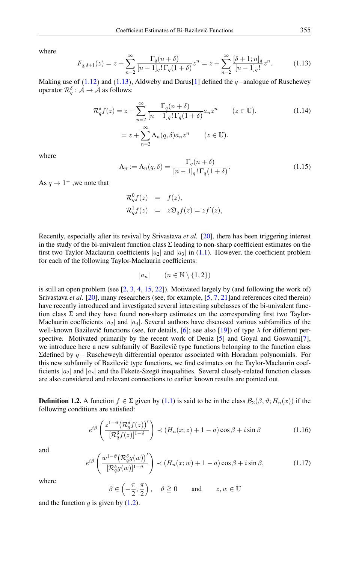<span id="page-3-0"></span>where

$$
F_{q,\delta+1}(z) = z + \sum_{n=2}^{\infty} \frac{\Gamma_q(n+\delta)}{[n-1]_q! \Gamma_q(1+\delta)} z^n = z + \sum_{n=2}^{\infty} \frac{[\delta+1; n]_q}{[n-1]_q!} z^n.
$$
 (1.13)

Making use of  $(1.12)$  $(1.12)$  $(1.12)$  and  $(1.13)$  $(1.13)$  $(1.13)$ , Aldweby and Darus[\[1\]](#page-9-9) defined the q−analogue of Ruschewey operator  $\mathcal{R}_q^{\delta} : \mathcal{A} \to \mathcal{A}$  as follows:

$$
\mathcal{R}_q^{\delta} f(z) = z + \sum_{n=2}^{\infty} \frac{\Gamma_q(n+\delta)}{[n-1]_q! \Gamma_q(1+\delta)} a_n z^n \qquad (z \in \mathbb{U}).
$$
\n
$$
= z + \sum_{n=2}^{\infty} \Lambda_n(q, \delta) a_n z^n \qquad (z \in \mathbb{U}).
$$
\n(1.14)

<span id="page-3-1"></span>where

$$
\Lambda_n := \Lambda_n(q, \delta) = \frac{\Gamma_q(n+\delta)}{[n-1]_q! \Gamma_q(1+\delta)}.
$$
\n(1.15)

As  $q \to 1^-$ , we note that

$$
\mathcal{R}_q^0 f(z) = f(z),
$$
  

$$
\mathcal{R}_q^1 f(z) = z \mathfrak{D}_q f(z) = z f'(z),
$$

Recently, especially after its revival by Srivastava *et al.* [\[20\]](#page-9-10), there has been triggering interest in the study of the bi-univalent function class  $\Sigma$  leading to non-sharp coefficient estimates on the first two Taylor-Maclaurin coefficients  $|a_2|$  and  $|a_3|$  in [\(1.1\)](#page-0-0). However, the coefficient problem for each of the following Taylor-Maclaurin coefficients:

$$
|a_n| \qquad (n \in \mathbb{N} \setminus \{1, 2\})
$$

is still an open problem (see  $[2, 3, 4, 15, 22]$  $[2, 3, 4, 15, 22]$  $[2, 3, 4, 15, 22]$  $[2, 3, 4, 15, 22]$  $[2, 3, 4, 15, 22]$  $[2, 3, 4, 15, 22]$  $[2, 3, 4, 15, 22]$  $[2, 3, 4, 15, 22]$  $[2, 3, 4, 15, 22]$ ). Motivated largely by (and following the work of) Srivastava *et al.* [\[20\]](#page-9-10), many researchers (see, for example, [\[5,](#page-9-16) [7,](#page-9-17) [21\]](#page-9-18)and references cited therein) have recently introduced and investigated several interesting subclasses of the bi-univalent function class  $\Sigma$  and they have found non-sharp estimates on the corresponding first two Taylor-Maclaurin coefficients  $|a_2|$  and  $|a_3|$ . Several authors have discussed various subfamilies of the well-known Bazilevic functions (see, for details, [[6\]](#page-9-19); see also [\[19\]](#page-9-20)) of type  $\lambda$  for different per-spective. Motivated primarily by the recent work of Deniz [\[5\]](#page-9-16) and Goyal and Goswami[\[7\]](#page-9-17), we introduce here a new subfamily of Bazilevič type functions belonging to the function class Σdefined by q− Ruscheweyh differential operator associated with Horadam polynomials. For this new subfamily of Bazilevic type functions, we find estimates on the Taylor-Maclaurin coef- ˘ ficients  $|a_2|$  and  $|a_3|$  and the Fekete-Szegö inequalities. Several closely-related function classes are also considered and relevant connections to earlier known results are pointed out.

**Definition 1.2.** A function  $f \in \Sigma$  given by [\(1.1\)](#page-0-0) is said to be in the class  $\mathcal{B}_{\Sigma}(\beta, \vartheta; H_n(x))$  if the following conditions are satisfied:

<span id="page-3-2"></span>
$$
e^{i\beta} \left( \frac{z^{1-\vartheta} \left( \mathcal{R}_q^{\delta} f(z) \right)^{\prime}}{[\mathcal{R}_q^{\delta} f(z)]^{1-\vartheta}} \right) \prec \left( H_n(x; z) + 1 - a \right) \cos \beta + i \sin \beta \tag{1.16}
$$

<span id="page-3-3"></span>and

$$
e^{i\beta} \left( \frac{w^{1-\vartheta} \big(\mathcal{R}_q^{\delta} g(w)\big)'}{[\mathcal{R}_q^{\delta} g(w)]^{1-\vartheta}} \right) \prec \left( H_n(x; w) + 1 - a \right) \cos \beta + i \sin \beta, \tag{1.17}
$$

where

 $\beta \in \left(-\frac{\pi}{2}\right)$  $\frac{\pi}{2}, \frac{\pi}{2}$ 2  $\Big)$ ,  $\vartheta \ge 0$  and  $z, w \in \mathbb{U}$ 

and the function  $q$  is given by  $(1.2)$ .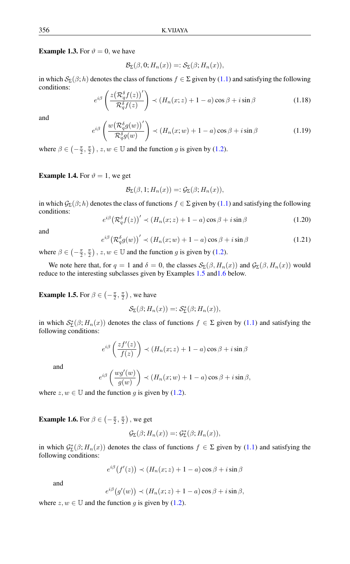<span id="page-4-2"></span>**Example 1.3.** For  $\vartheta = 0$ , we have

$$
\mathcal{B}_{\Sigma}(\beta,0;H_n(x))=:\mathcal{S}_{\Sigma}(\beta;H_n(x)),
$$

in which  $S_{\Sigma}(\beta; h)$  denotes the class of functions  $f \in \Sigma$  given by [\(1.1\)](#page-0-0) and satisfying the following conditions:

$$
e^{i\beta} \left( \frac{z \left(\mathcal{R}_q^{\delta} f(z)\right)'}{\mathcal{R}_q^{\delta} f(z)} \right) \prec \left( H_n(x; z) + 1 - a \right) \cos \beta + i \sin \beta \tag{1.18}
$$

and

$$
e^{i\beta} \left( \frac{w \left( \mathcal{R}_q^{\delta} g(w) \right)'}{\mathcal{R}_q^{\delta} g(w)} \right) \prec \left( H_n(x; w) + 1 - a \right) \cos \beta + i \sin \beta \tag{1.19}
$$

where  $\beta \in \left(-\frac{\pi}{2}, \frac{\pi}{2}\right)$ ,  $z, w \in \mathbb{U}$  and the function g is given by [\(1.2\)](#page-0-1).

#### <span id="page-4-3"></span>**Example 1.4.** For  $\vartheta = 1$ , we get

$$
\mathcal{B}_{\Sigma}(\beta, 1; H_n(x)) =: \mathcal{G}_{\Sigma}(\beta; H_n(x)),
$$

in which  $\mathcal{G}_{\Sigma}(\beta; h)$  denotes the class of functions  $f \in \Sigma$  given by [\(1.1\)](#page-0-0) and satisfying the following conditions:

$$
e^{i\beta} \left(\mathcal{R}_q^{\delta} f(z)\right)' \prec \left(H_n(x; z) + 1 - a\right) \cos \beta + i \sin \beta \tag{1.20}
$$

and

$$
e^{i\beta} \left(\mathcal{R}_q^{\delta} g(w)\right)' \prec \left(H_n(x; w) + 1 - a\right) \cos \beta + i \sin \beta \tag{1.21}
$$

where  $\beta \in \left(-\frac{\pi}{2}, \frac{\pi}{2}\right)$ ,  $z, w \in \mathbb{U}$  and the function g is given by [\(1.2\)](#page-0-1).

We note here that, for  $q = 1$  and  $\delta = 0$ , the classes  $\mathcal{S}_{\Sigma}(\beta, H_n(x))$  and  $\mathcal{G}_{\Sigma}(\beta, H_n(x))$  would reduce to the interesting subclasses given by Examples [1.5](#page-4-0) an[d1.6](#page-4-1) below.

<span id="page-4-0"></span>**Example 1.5.** For  $\beta \in \left(-\frac{\pi}{2}, \frac{\pi}{2}\right)$ , we have

e

$$
\mathcal{S}_{\Sigma}(\beta; H_n(x)) =: \mathcal{S}_{\Sigma}^*(\beta; H_n(x)),
$$

in which  $S_{\Sigma}^*(\beta; H_n(x))$  denotes the class of functions  $f \in \Sigma$  given by [\(1.1\)](#page-0-0) and satisfying the following conditions:

$$
e^{i\beta}\left(\frac{zf'(z)}{f(z)}\right) \prec (H_n(x;z) + 1 - a)\cos\beta + i\sin\beta
$$

and

$$
e^{i\beta} \left( \frac{wg'(w)}{g(w)} \right) \prec (H_n(x; w) + 1 - a) \cos \beta + i \sin \beta,
$$

where  $z, w \in \mathbb{U}$  and the function g is given by [\(1.2\)](#page-0-1).

<span id="page-4-1"></span>**Example 1.6.** For  $\beta \in \left(-\frac{\pi}{2}, \frac{\pi}{2}\right)$ , we get

e

$$
\mathcal{G}_{\Sigma}(\beta; H_n(x)) =: \mathcal{G}_{\Sigma}^*(\beta; H_n(x)),
$$

in which  $G_{\Sigma}^*(\beta; H_n(x))$  denotes the class of functions  $f \in \Sigma$  given by [\(1.1\)](#page-0-0) and satisfying the following conditions:

$$
e^{i\beta}(f'(z)) \prec (H_n(x; z) + 1 - a)\cos\beta + i\sin\beta
$$

and

$$
e^{i\beta}(g'(w)) \prec (H_n(x; z) + 1 - a)\cos\beta + i\sin\beta,
$$

where  $z, w \in \mathbb{U}$  and the function g is given by [\(1.2\)](#page-0-1).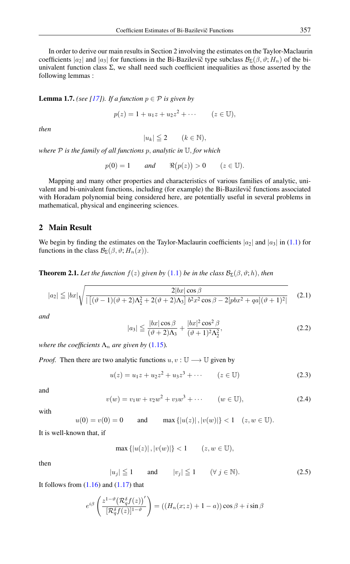In order to derive our main results in Section 2 involving the estimates on the Taylor-Maclaurin coefficients  $|a_2|$  and  $|a_3|$  for functions in the Bi-Bazilevic type subclass  $\mathcal{B}_{\Sigma}(\beta, \vartheta; H_n)$  of the biunivalent function class  $\Sigma$ , we shall need such coefficient inequalities as those asserted by the following lemmas :

<span id="page-5-2"></span>**Lemma 1.7.** *(see [\[17\]](#page-9-21)). If a function*  $p \in \mathcal{P}$  *is given by* 

$$
p(z) = 1 + u_1 z + u_2 z^2 + \cdots
$$
  $(z \in \mathbb{U}),$ 

*then*

$$
|u_k| \leqq 2 \qquad (k \in \mathbb{N}),
$$

*where* P *is the family of all functions* p, *analytic in* U, *for which*

 $p(0) = 1$  *and*  $\Re(p(z)) > 0$   $(z \in \mathbb{U}).$ 

Mapping and many other properties and characteristics of various families of analytic, univalent and bi-univalent functions, including (for example) the Bi-Bazilevic functions associated with Horadam polynomial being considered here, are potentially useful in several problems in mathematical, physical and engineering sciences.

## 2 Main Result

We begin by finding the estimates on the Taylor-Maclaurin coefficients  $|a_2|$  and  $|a_3|$  in [\(1.1\)](#page-0-0) for functions in the class  $\mathcal{B}_{\Sigma}(\beta, \vartheta; H_n(x)).$ 

<span id="page-5-4"></span>**Theorem 2.[1](#page-0-0).** Let the function  $f(z)$  given by (1.1) be in the class  $\mathcal{B}_{\Sigma}(\beta,\vartheta;h)$ , then

$$
|a_2| \le |bx| \sqrt{\frac{2|bx|\cos\beta}{|\left[(\vartheta - 1)(\vartheta + 2)\Lambda_2^2 + 2(\vartheta + 2)\Lambda_3\right]b^2x^2\cos\beta - 2[pbx^2 + qa](\vartheta + 1)^2|}}
$$
(2.1)

*and*

<span id="page-5-1"></span><span id="page-5-0"></span>
$$
|a_3| \le \frac{|bx|\cos\beta}{(\vartheta+2)\Lambda_3} + \frac{|bx|^2\cos^2\beta}{(\vartheta+1)^2\Lambda_2^2},\tag{2.2}
$$

*where the coefficients*  $\Lambda_n$  *are given by* [\(1.15\)](#page-3-1)*.* 

*Proof.* Then there are two analytic functions  $u, v : \mathbb{U} \longrightarrow \mathbb{U}$  given by

$$
u(z) = u_1 z + u_2 z^2 + u_3 z^3 + \cdots \qquad (z \in \mathbb{U})
$$
 (2.3)

and

$$
v(w) = v_1 w + v_2 w^2 + v_3 w^3 + \cdots \qquad (w \in \mathbb{U}), \tag{2.4}
$$

with

$$
u(0) = v(0) = 0
$$
 and  $\max\{|u(z)|, |v(w)|\} < 1$   $(z, w \in \mathbb{U}).$ 

It is well-known that, if

$$
\max\{|u(z)|, |v(w)|\} < 1 \qquad (z, w \in \mathbb{U}),
$$

<span id="page-5-3"></span>then

$$
|u_j| \le 1 \quad \text{and} \quad |v_j| \le 1 \quad (\forall j \in \mathbb{N}). \tag{2.5}
$$

It follows from  $(1.16)$  and  $(1.17)$  that

$$
e^{i\beta} \left( \frac{z^{1-\vartheta} \big( \mathcal{R}_q^{\delta} f(z) \big)'}{[\mathcal{R}_q^{\delta} f(z)]^{1-\vartheta}} \right) = \left( \left( H_n(x; z) + 1 - a \right) \right) \cos \beta + i \sin \beta
$$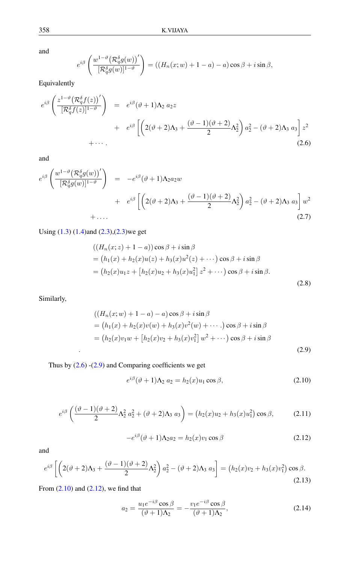and

$$
e^{i\beta} \left( \frac{w^{1-\vartheta} \big(\mathcal{R}_q^{\delta} g(w)\big)'}{[\mathcal{R}_q^{\delta} g(w)]^{1-\vartheta}} \right) = \left( \left(H_n(x; w) + 1 - a\right) - a\right) \cos \beta + i \sin \beta,
$$

Equivalently

<span id="page-6-0"></span>
$$
e^{i\beta} \left( \frac{z^{1-\vartheta} \left( \mathcal{R}_{q}^{\delta} f(z) \right)^{\prime}}{[\mathcal{R}_{q}^{\delta} f(z)]^{1-\vartheta}} \right) = e^{i\beta} (\vartheta + 1) \Lambda_{2} a_{2} z + e^{i\beta} \left[ \left( 2(\vartheta + 2) \Lambda_{3} + \frac{(\vartheta - 1)(\vartheta + 2)}{2} \Lambda_{2}^{2} \right) a_{2}^{2} - (\vartheta + 2) \Lambda_{3} a_{3} \right] z^{2} + \cdots
$$
\n(2.6)

and

$$
e^{i\beta} \left( \frac{w^{1-\vartheta} \left( \mathcal{R}_{q}^{\delta} g(w) \right)^{\prime}}{[\mathcal{R}_{q}^{\delta} g(w)]^{1-\vartheta}} \right) = -e^{i\beta} (\vartheta + 1) \Lambda_{2} a_{2} w + e^{i\beta} \left[ \left( 2(\vartheta + 2) \Lambda_{3} + \frac{(\vartheta - 1)(\vartheta + 2)}{2} \Lambda_{2}^{2} \right) a_{2}^{2} - (\vartheta + 2) \Lambda_{3} a_{3} \right] w^{2} + \dots
$$
\n
$$
(2.7)
$$

Using [\(1.3\)](#page-1-0) [\(1.4\)](#page-1-1)and [\(2.3\)](#page-5-0),[\(2.3\)](#page-5-0)we get

$$
((H_n(x; z) + 1 - a)) \cos \beta + i \sin \beta
$$
  
=  $(h_1(x) + h_2(x)u(z) + h_3(x)u^2(z) + \cdots) \cos \beta + i \sin \beta$   
=  $(h_2(x)u_1z + [h_2(x)u_2 + h_3(x)u_1^2]z^2 + \cdots) \cos \beta + i \sin \beta.$  (2.8)

Similarly,

<span id="page-6-1"></span>
$$
((H_n(x; w) + 1 - a) - a) \cos \beta + i \sin \beta
$$
  
=  $(h_1(x) + h_2(x)v(w) + h_3(x)v^2(w) + \cdots)$  cos  $\beta$  +  $i \sin \beta$   
=  $(h_2(x)v_1w + [h_2(x)v_2 + h_3(x)v_1^2]w^2 + \cdots)$  cos  $\beta$  +  $i \sin \beta$  (2.9)

Thus by  $(2.6)$  - $(2.9)$  and Comparing coefficients we get

<span id="page-6-2"></span>
$$
e^{i\beta}(\vartheta+1)\Lambda_2 a_2 = h_2(x)u_1\cos\beta,
$$
\n(2.10)

<span id="page-6-4"></span>
$$
e^{i\beta} \left( \frac{(\vartheta - 1)(\vartheta + 2)}{2} \Lambda_2^2 a_2^2 + (\vartheta + 2) \Lambda_3 a_3 \right) = (h_2(x)u_2 + h_3(x)u_1^2) \cos \beta, \tag{2.11}
$$

$$
-e^{i\beta}(\vartheta+1)\Lambda_2 a_2 = h_2(x)v_1\cos\beta\tag{2.12}
$$

<span id="page-6-5"></span><span id="page-6-3"></span>and

$$
e^{i\beta} \left[ \left( 2(\vartheta + 2)\Lambda_3 + \frac{(\vartheta - 1)(\vartheta + 2)}{2}\Lambda_2^2 \right) a_2^2 - (\vartheta + 2)\Lambda_3 \ a_3 \right] = \left( h_2(x)v_2 + h_3(x)v_1^2 \right) \cos \beta. \tag{2.13}
$$

From  $(2.10)$  and  $(2.12)$ , we find that

<span id="page-6-6"></span>
$$
a_2 = \frac{u_1 e^{-i\beta} \cos \beta}{(\vartheta + 1)\Lambda_2} = -\frac{v_1 e^{-i\beta} \cos \beta}{(\vartheta + 1)\Lambda_2},
$$
\n(2.14)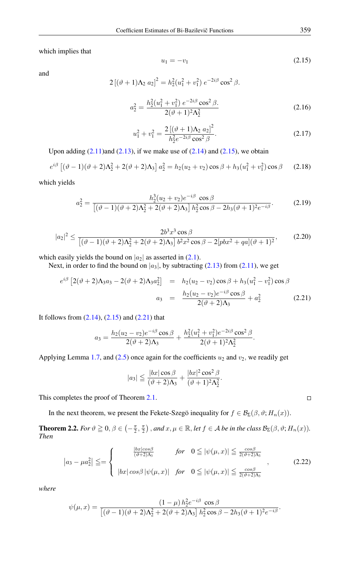which implies that

$$
u_1 = -v_1 \tag{2.15}
$$

and

<span id="page-7-0"></span>
$$
2[(\vartheta + 1)\Lambda_2 a_2]^2 = h_2^2(u_1^2 + v_1^2) e^{-2i\beta} \cos^2 \beta.
$$

$$
a_2^2 = \frac{h_2^2(u_1^2 + v_1^2) e^{-2i\beta} \cos^2 \beta}{2(\vartheta + 1)^2 \Lambda_2^2}
$$
 (2.16)

$$
u_1^2 + v_1^2 = \frac{2\left[ (\vartheta + 1)\Lambda_2 a_2 \right]^2}{h_2^2 e^{-2i\beta} \cos^2 \beta}.
$$
 (2.17)

Upon adding  $(2.11)$ and  $(2.13)$ , if we make use of  $(2.14)$  and  $(2.15)$ , we obtain

$$
e^{i\beta} \left[ (\vartheta - 1)(\vartheta + 2)\Lambda_2^2 + 2(\vartheta + 2)\Lambda_3 \right] a_2^2 = h_2(u_2 + v_2) \cos \beta + h_3(u_1^2 + v_1^2) \cos \beta \tag{2.18}
$$

which yields

$$
a_2^2 = \frac{h_2^3(u_2 + v_2)e^{-i\beta} \cos \beta}{[(\vartheta - 1)(\vartheta + 2)\Lambda_2^2 + 2(\vartheta + 2)\Lambda_3] h_2^2 \cos \beta - 2h_3(\vartheta + 1)^2 e^{-i\beta}}.
$$
(2.19)

$$
|a_2|^2 \le \frac{2b^3x^3\cos\beta}{[(\vartheta - 1)(\vartheta + 2)\Lambda_2^2 + 2(\vartheta + 2)\Lambda_3]b^2x^2\cos\beta - 2[pbx^2 + qa](\vartheta + 1)^2},
$$
(2.20)

which easily yields the bound on  $|a_2|$  as asserted in [\(2.1\)](#page-5-1).

Next, in order to find the bound on  $|a_3|$ , by subtracting [\(2.13\)](#page-6-5) from [\(2.11\)](#page-6-4), we get

<span id="page-7-1"></span>
$$
e^{i\beta} \left[ 2(\vartheta + 2)\Lambda_3 a_3 - 2(\vartheta + 2)\Lambda_3 a_2^2 \right] = h_2(u_2 - v_2) \cos \beta + h_3(u_1^2 - v_1^2) \cos \beta
$$
  

$$
a_3 = \frac{h_2(u_2 - v_2)e^{-i\beta} \cos \beta}{2(\vartheta + 2)\Lambda_3} + a_2^2
$$
 (2.21)

It follows from  $(2.14)$ ,  $(2.15)$  and  $(2.21)$  that

$$
a_3 = \frac{h_2(u_2 - v_2)e^{-i\beta}\cos\beta}{2(\vartheta + 2)\Lambda_3} + \frac{h_2^2(u_1^2 + v_1^2)e^{-2i\beta}\cos^2\beta}{2(\vartheta + 1)^2\Lambda_2^2}.
$$

Applying Lemma [1.7,](#page-5-2) and [\(2.5\)](#page-5-3) once again for the coefficients  $u_2$  and  $v_2$ , we readily get

$$
|a_3| \leq \frac{|bx|\cos\beta}{(\vartheta+2)\Lambda_3} + \frac{|bx|^2\cos^2\beta}{(\vartheta+1)^2\Lambda_2^2}.
$$

This completes the proof of Theorem [2.1.](#page-5-4)

In the next theorem, we present the Fekete-Szegö inequality for  $f \in \mathcal{B}_{\Sigma}(\beta, \vartheta; H_n(x))$ .

<span id="page-7-3"></span><span id="page-7-2"></span>**Theorem 2.2.** *For*  $\vartheta \ge 0$ ,  $\beta \in \left(-\frac{\pi}{2}, \frac{\pi}{2}\right)$ , and  $x, \mu \in \mathbb{R}$ , let  $f \in \mathcal{A}$  be in the class  $\mathcal{B}_{\Sigma}(\beta, \vartheta; H_n(x))$ . *Then*

$$
\left| a_3 - \mu a_2^2 \right| \leq = \begin{cases} \frac{|bx|\cos\beta}{(\vartheta + 2)\Lambda_3} & \text{for } 0 \leq |\psi(\mu, x)| \leq \frac{\cos\beta}{2(\vartheta + 2)\Lambda_3} \\ |bx|\cos\beta|\psi(\mu, x)| & \text{for } 0 \leq |\psi(\mu, x)| \leq \frac{\cos\beta}{2(\vartheta + 2)\Lambda_3} \end{cases}
$$
(2.22)

*where*

$$
\psi(\mu, x) = \frac{(1 - \mu) h_2^2 e^{-i\beta} \cos \beta}{[(\vartheta - 1)(\vartheta + 2)\Lambda_2^2 + 2(\vartheta + 2)\Lambda_3] h_2^2 \cos \beta - 2h_3(\vartheta + 1)^2 e^{-i\beta}}.
$$

 $\Box$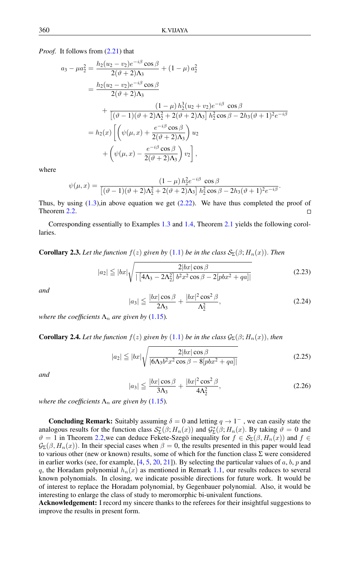*Proof.* It follows from  $(2.21)$  that

$$
a_3 - \mu a_2^2 = \frac{h_2(u_2 - v_2)e^{-i\beta}\cos\beta}{2(\vartheta + 2)\Lambda_3} + (1 - \mu) a_2^2
$$
  
= 
$$
\frac{h_2(u_2 - v_2)e^{-i\beta}\cos\beta}{2(\vartheta + 2)\Lambda_3}
$$
  
+ 
$$
\frac{(1 - \mu) h_2^3(u_2 + v_2)e^{-i\beta}\cos\beta}{[(\vartheta - 1)(\vartheta + 2)\Lambda_2^2 + 2(\vartheta + 2)\Lambda_3] h_2^2\cos\beta - 2h_3(\vartheta + 1)^2e^{-i\beta}}
$$
  
= 
$$
h_2(x)\left[\left(\psi(\mu, x) + \frac{e^{-i\beta}\cos\beta}{2(\vartheta + 2)\Lambda_3}\right)u_2\right. \\ + \left(\psi(\mu, x) - \frac{e^{-i\beta}\cos\beta}{2(\vartheta + 2)\Lambda_3}\right)v_2\right],
$$

where

$$
\psi(\mu, x) = \frac{(1 - \mu) h_2^2 e^{-i\beta} \cos \beta}{[(\vartheta - 1)(\vartheta + 2)\Lambda_2^2 + 2(\vartheta + 2)\Lambda_3] h_2^2 \cos \beta - 2h_3(\vartheta + 1)^2 e^{-i\beta}}.
$$

Thus, by using  $(1.3)$ , in above equation we get  $(2.22)$ . We have thus completed the proof of Theorem [2.2.](#page-7-3)  $\Box$ 

Corresponding essentially to Examples [1.3](#page-4-2) and [1.4,](#page-4-3) Theorem [2.1](#page-5-4) yields the following corollaries.

**Corollary 2.3.** Let the function  $f(z)$  given by  $(1.1)$  $(1.1)$  $(1.1)$  be in the class  $\mathcal{S}_{\Sigma}(\beta; H_n(x))$ . Then

$$
|a_2| \le |bx|\sqrt{\frac{2|bx|\cos\beta}{\left|\left[4\Lambda_3 - 2\Lambda_2^2\right]b^2x^2\cos\beta - 2[pbx^2 + qa]\right|}}\tag{2.23}
$$

*and*

$$
|a_3| \le \frac{|bx|\cos\beta}{2\Lambda_3} + \frac{|bx|^2\cos^2\beta}{\Lambda_2^2},\tag{2.24}
$$

*where the coefficients*  $\Lambda_n$  *are given by* [\(1.15\)](#page-3-1)*.* 

**Corollary 2.4.** Let the function  $f(z)$  given by ([1](#page-0-0).1) be in the class  $\mathcal{G}_{\Sigma}(\beta; H_n(x))$ , then

$$
|a_2| \leq |bx| \sqrt{\frac{2|bx|\cos\beta}{|6\Lambda_3 b^2 x^2 \cos\beta - 8[pbx^2 + qa]|}}
$$
\n(2.25)

*and*

$$
|a_3| \le \frac{|bx|\cos\beta}{3\Lambda_3} + \frac{|bx|^2\cos^2\beta}{4\Lambda_2^2},\tag{2.26}
$$

*where the coefficients*  $\Lambda_n$  *are given by* [\(1.15\)](#page-3-1)*.* 

**Concluding Remark:** Suitably assuming  $\delta = 0$  and letting  $q \to 1^-$ , we can easily state the analogous results for the function class  $S_{\Sigma}^*(\beta; H_n(x))$  and  $\mathcal{G}_{\Sigma}^*(\beta; H_n(x)$ . By taking  $\vartheta = 0$  and  $\vartheta = 1$  in Theorem [2.2,](#page-7-3)we can deduce Fekete-Szegö inequality for  $f \in S_{\Sigma}(\beta, H_n(x))$  and  $f \in$  $\mathcal{G}_{\Sigma}(\beta, H_n(x))$ . In their special cases when  $\beta = 0$ , the results presented in this paper would lead to various other (new or known) results, some of which for the function class  $\Sigma$  were considered in earlier works (see, for example,  $[4, 5, 20, 21]$  $[4, 5, 20, 21]$  $[4, 5, 20, 21]$  $[4, 5, 20, 21]$  $[4, 5, 20, 21]$  $[4, 5, 20, 21]$  $[4, 5, 20, 21]$ ). By selecting the particular values of a, b, p and q, the Horadam polynomial  $h_n(x)$  as mentioned in Remark [1.1,](#page-1-2) our results reduces to several known polynomials. In closing, we indicate possible directions for future work. It would be of interest to replace the Horadam polynomial, by Gegenbauer polynomial. Also, it would be interesting to enlarge the class of study to meromorphic bi-univalent functions.

Acknowledgement: I record my sincere thanks to the referees for their insightful suggestions to improve the results in present form.